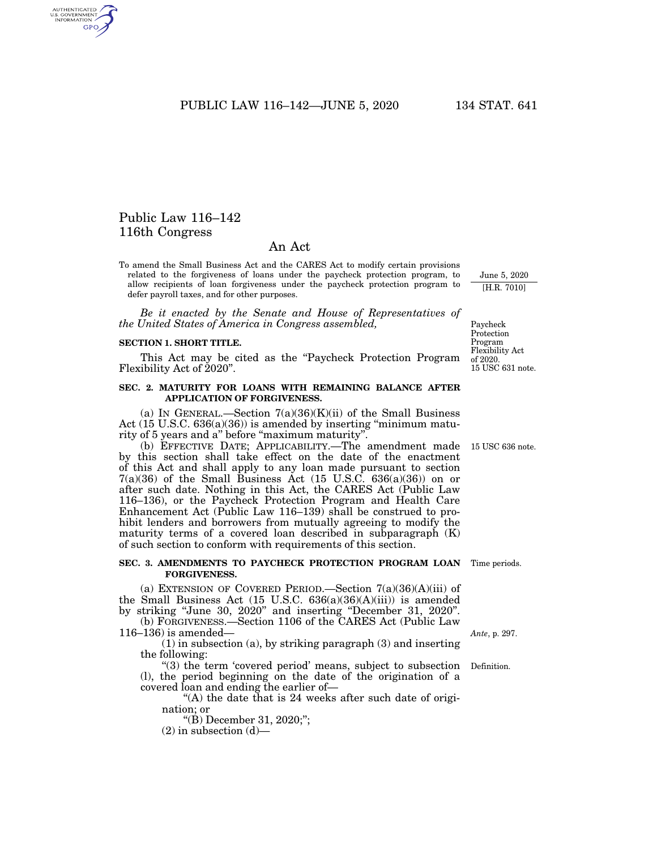PUBLIC LAW 116–142—JUNE 5, 2020 134 STAT. 641

# Public Law 116–142 116th Congress

AUTHENTICATED<br>U.S. GOVERNMENT<br>INFORMATION GPO

# An Act

To amend the Small Business Act and the CARES Act to modify certain provisions related to the forgiveness of loans under the paycheck protection program, to allow recipients of loan forgiveness under the paycheck protection program to defer payroll taxes, and for other purposes.

*Be it enacted by the Senate and House of Representatives of the United States of America in Congress assembled,* 

#### **SECTION 1. SHORT TITLE.**

This Act may be cited as the "Paycheck Protection Program" Flexibility Act of 2020''.

## **SEC. 2. MATURITY FOR LOANS WITH REMAINING BALANCE AFTER APPLICATION OF FORGIVENESS.**

(a) IN GENERAL.—Section  $7(a)(36)(K)(ii)$  of the Small Business Act (15 U.S.C. 636(a)(36)) is amended by inserting "minimum maturity of 5 years and a'' before ''maximum maturity''.

(b) EFFECTIVE DATE; APPLICABILITY.—The amendment made by this section shall take effect on the date of the enactment of this Act and shall apply to any loan made pursuant to section  $7(a)(36)$  of the Small Business Act (15 U.S.C. 636(a)(36)) on or after such date. Nothing in this Act, the CARES Act (Public Law 116–136), or the Paycheck Protection Program and Health Care Enhancement Act (Public Law 116–139) shall be construed to prohibit lenders and borrowers from mutually agreeing to modify the maturity terms of a covered loan described in subparagraph (K) of such section to conform with requirements of this section.

# **SEC. 3. AMENDMENTS TO PAYCHECK PROTECTION PROGRAM LOAN FORGIVENESS.**

(a) EXTENSION OF COVERED PERIOD.—Section  $7(a)(36)(A)(iii)$  of the Small Business Act (15 U.S.C. 636(a)(36)(A)(iii)) is amended by striking ''June 30, 2020'' and inserting ''December 31, 2020''. (b) FORGIVENESS.—Section 1106 of the CARES Act (Public Law

116–136) is amended— (1) in subsection (a), by striking paragraph (3) and inserting the following:

"(3) the term 'covered period' means, subject to subsection (l), the period beginning on the date of the origination of a covered loan and ending the earlier of—

"(A) the date that is 24 weeks after such date of origination; or

''(B) December 31, 2020;'';

 $(2)$  in subsection  $(d)$ —

Paycheck Protection Program Flexibility Act

June 5, 2020 [H.R. 7010]

of 2020. 15 USC 631 note.

15 USC 636 note.

Time periods.

*Ante*, p. 297.

Definition.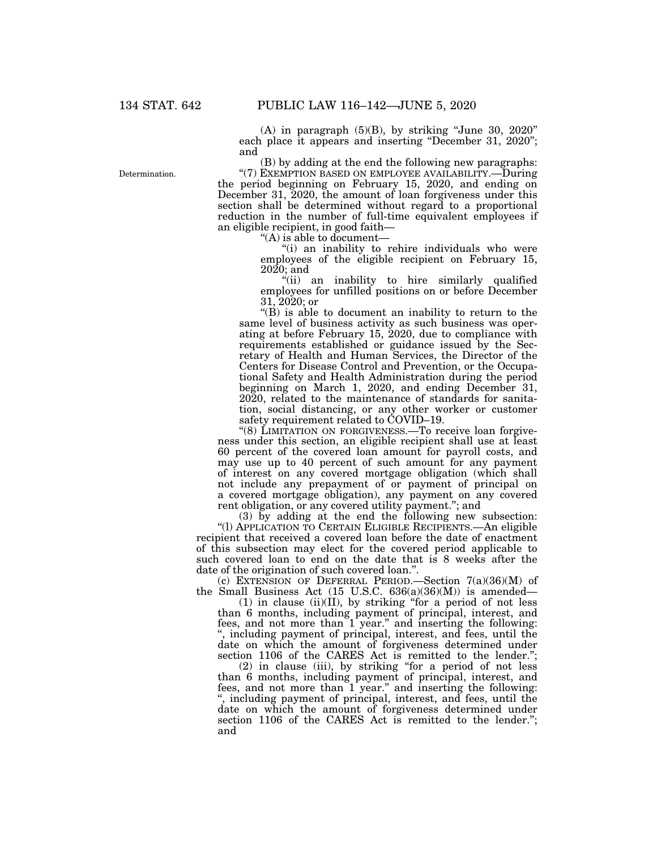$(A)$  in paragraph  $(5)(B)$ , by striking "June 30, 2020" each place it appears and inserting "December 31, 2020"; and

(B) by adding at the end the following new paragraphs: "(7) EXEMPTION BASED ON EMPLOYEE AVAILABILITY.—During the period beginning on February 15, 2020, and ending on December 31, 2020, the amount of loan forgiveness under this section shall be determined without regard to a proportional reduction in the number of full-time equivalent employees if an eligible recipient, in good faith—

''(A) is able to document—

''(i) an inability to rehire individuals who were employees of the eligible recipient on February 15, 2020; and

''(ii) an inability to hire similarly qualified employees for unfilled positions on or before December 31, 2020; or

" $(B)$  is able to document an inability to return to the same level of business activity as such business was operating at before February 15, 2020, due to compliance with requirements established or guidance issued by the Secretary of Health and Human Services, the Director of the Centers for Disease Control and Prevention, or the Occupational Safety and Health Administration during the period beginning on March 1, 2020, and ending December 31, 2020, related to the maintenance of standards for sanitation, social distancing, or any other worker or customer safety requirement related to COVID–19.

"(8) LIMITATION ON FORGIVENESS.—To receive loan forgiveness under this section, an eligible recipient shall use at least 60 percent of the covered loan amount for payroll costs, and may use up to 40 percent of such amount for any payment of interest on any covered mortgage obligation (which shall not include any prepayment of or payment of principal on a covered mortgage obligation), any payment on any covered rent obligation, or any covered utility payment.''; and

(3) by adding at the end the following new subsection: ''(l) APPLICATION TO CERTAIN ELIGIBLE RECIPIENTS.—An eligible recipient that received a covered loan before the date of enactment of this subsection may elect for the covered period applicable to such covered loan to end on the date that is 8 weeks after the date of the origination of such covered loan."

(c) EXTENSION OF DEFERRAL PERIOD.—Section  $7(a)(36)(M)$  of the Small Business Act  $(15 \text{ U.S.C. } 636(a)(36)(M))$  is amended—

 $(1)$  in clause  $(ii)(II)$ , by striking "for a period of not less than 6 months, including payment of principal, interest, and fees, and not more than 1 year.'' and inserting the following: '', including payment of principal, interest, and fees, until the date on which the amount of forgiveness determined under section 1106 of the CARES Act is remitted to the lender.'';

(2) in clause (iii), by striking ''for a period of not less than 6 months, including payment of principal, interest, and fees, and not more than 1 year.'' and inserting the following: '', including payment of principal, interest, and fees, until the date on which the amount of forgiveness determined under section 1106 of the CARES Act is remitted to the lender."; and

Determination.